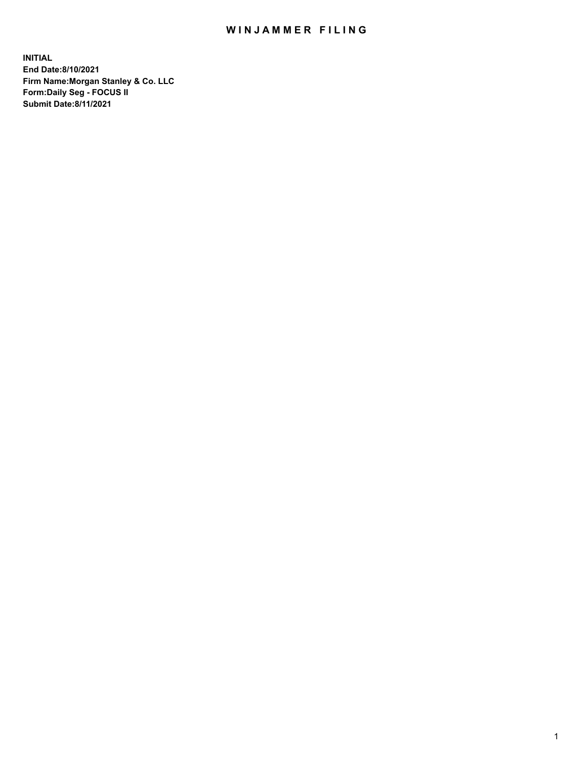## WIN JAMMER FILING

**INITIAL End Date:8/10/2021 Firm Name:Morgan Stanley & Co. LLC Form:Daily Seg - FOCUS II Submit Date:8/11/2021**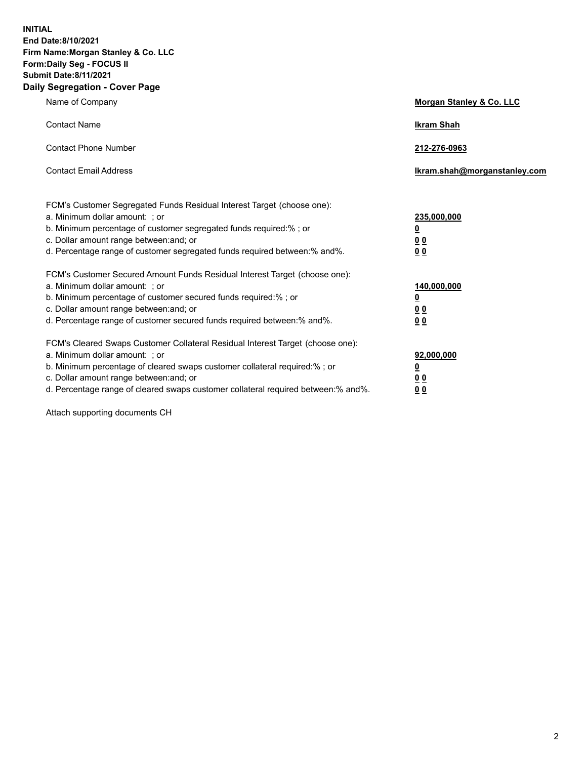**INITIAL End Date:8/10/2021 Firm Name:Morgan Stanley & Co. LLC Form:Daily Seg - FOCUS II Submit Date:8/11/2021 Daily Segregation - Cover Page**

| Name of Company                                                                                                                                                                                                                                                                                                                | Morgan Stanley & Co. LLC                                |
|--------------------------------------------------------------------------------------------------------------------------------------------------------------------------------------------------------------------------------------------------------------------------------------------------------------------------------|---------------------------------------------------------|
| <b>Contact Name</b>                                                                                                                                                                                                                                                                                                            | <b>Ikram Shah</b>                                       |
| <b>Contact Phone Number</b>                                                                                                                                                                                                                                                                                                    | 212-276-0963                                            |
| <b>Contact Email Address</b>                                                                                                                                                                                                                                                                                                   | Ikram.shah@morganstanley.com                            |
| FCM's Customer Segregated Funds Residual Interest Target (choose one):<br>a. Minimum dollar amount: ; or<br>b. Minimum percentage of customer segregated funds required:% ; or<br>c. Dollar amount range between: and; or<br>d. Percentage range of customer segregated funds required between:% and%.                         | 235,000,000<br><u>0</u><br>0 <sup>0</sup><br>00         |
| FCM's Customer Secured Amount Funds Residual Interest Target (choose one):<br>a. Minimum dollar amount: ; or<br>b. Minimum percentage of customer secured funds required:%; or<br>c. Dollar amount range between: and; or<br>d. Percentage range of customer secured funds required between:% and%.                            | 140,000,000<br><u>0</u><br><u>0 0</u><br>0 <sub>0</sub> |
| FCM's Cleared Swaps Customer Collateral Residual Interest Target (choose one):<br>a. Minimum dollar amount: ; or<br>b. Minimum percentage of cleared swaps customer collateral required:% ; or<br>c. Dollar amount range between: and; or<br>d. Percentage range of cleared swaps customer collateral required between:% and%. | 92,000,000<br><u>0</u><br><u>00</u><br>0 <sub>0</sub>   |

Attach supporting documents CH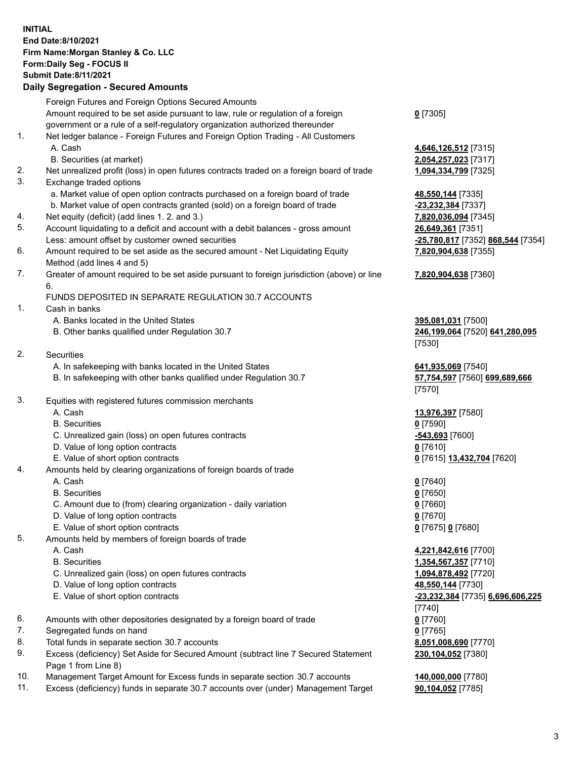## **INITIAL End Date:8/10/2021 Firm Name:Morgan Stanley & Co. LLC Form:Daily Seg - FOCUS II Submit Date:8/11/2021**

## **Daily Segregation - Secured Amounts**

|    | Foreign Futures and Foreign Options Secured Amounts                                                        |                                   |
|----|------------------------------------------------------------------------------------------------------------|-----------------------------------|
|    | Amount required to be set aside pursuant to law, rule or regulation of a foreign                           | $0$ [7305]                        |
|    | government or a rule of a self-regulatory organization authorized thereunder                               |                                   |
| 1. | Net ledger balance - Foreign Futures and Foreign Option Trading - All Customers                            |                                   |
|    | A. Cash                                                                                                    | 4,646,126,512 [7315]              |
|    | B. Securities (at market)                                                                                  | 2,054,257,023 [7317]              |
| 2. | Net unrealized profit (loss) in open futures contracts traded on a foreign board of trade                  | 1,094,334,799 [7325]              |
| 3. | Exchange traded options                                                                                    |                                   |
|    | a. Market value of open option contracts purchased on a foreign board of trade                             | 48,550,144 [7335]                 |
|    | b. Market value of open contracts granted (sold) on a foreign board of trade                               | -23,232,384 [7337]                |
| 4. | Net equity (deficit) (add lines 1.2. and 3.)                                                               | 7,820,036,094 [7345]              |
| 5. | Account liquidating to a deficit and account with a debit balances - gross amount                          | 26,649,361 [7351]                 |
|    | Less: amount offset by customer owned securities                                                           | -25,780,817 [7352] 868,544 [7354] |
| 6. | Amount required to be set aside as the secured amount - Net Liquidating Equity                             | 7,820,904,638 [7355]              |
|    | Method (add lines 4 and 5)                                                                                 |                                   |
| 7. | Greater of amount required to be set aside pursuant to foreign jurisdiction (above) or line                | 7,820,904,638 [7360]              |
|    | 6.                                                                                                         |                                   |
|    | <b>FUNDS DEPOSITED IN SEPARATE REGULATION 30.7 ACCOUNTS</b>                                                |                                   |
| 1. | Cash in banks                                                                                              |                                   |
|    | A. Banks located in the United States                                                                      | 395,081,031 [7500]                |
|    | B. Other banks qualified under Regulation 30.7                                                             | 246,199,064 [7520] 641,280,095    |
|    |                                                                                                            | [7530]                            |
| 2. | Securities                                                                                                 |                                   |
|    | A. In safekeeping with banks located in the United States                                                  | 641,935,069 [7540]                |
|    | B. In safekeeping with other banks qualified under Regulation 30.7                                         | 57,754,597 [7560] 699,689,666     |
|    |                                                                                                            | [7570]                            |
| 3. | Equities with registered futures commission merchants                                                      |                                   |
|    | A. Cash                                                                                                    | 13,976,397 [7580]                 |
|    | <b>B.</b> Securities                                                                                       | $0$ [7590]                        |
|    | C. Unrealized gain (loss) on open futures contracts                                                        | -543,693 [7600]                   |
|    | D. Value of long option contracts                                                                          | $0$ [7610]                        |
|    | E. Value of short option contracts                                                                         | 0 [7615] 13,432,704 [7620]        |
| 4. | Amounts held by clearing organizations of foreign boards of trade                                          |                                   |
|    | A. Cash                                                                                                    |                                   |
|    | <b>B.</b> Securities                                                                                       | $0$ [7640]                        |
|    |                                                                                                            | $0$ [7650]                        |
|    | C. Amount due to (from) clearing organization - daily variation                                            | $0$ [7660]                        |
|    | D. Value of long option contracts                                                                          | $0$ [7670]                        |
| 5. | E. Value of short option contracts                                                                         | 0 [7675] 0 [7680]                 |
|    | Amounts held by members of foreign boards of trade                                                         |                                   |
|    | A. Cash                                                                                                    | 4,221,842,616 [7700]              |
|    | <b>B.</b> Securities                                                                                       | 1,354,567,357 [7710]              |
|    | C. Unrealized gain (loss) on open futures contracts                                                        | 1,094,878,492 [7720]              |
|    | D. Value of long option contracts                                                                          | 48,550,144 [7730]                 |
|    | E. Value of short option contracts                                                                         | -23,232,384 [7735] 6,696,606,225  |
|    |                                                                                                            | [7740]                            |
| 6. | Amounts with other depositories designated by a foreign board of trade                                     | $0$ [7760]                        |
| 7. | Segregated funds on hand                                                                                   | $0$ [7765]                        |
| 8. | Total funds in separate section 30.7 accounts                                                              | 8,051,008,690 [7770]              |
| 9. | Excess (deficiency) Set Aside for Secured Amount (subtract line 7 Secured Statement<br>Page 1 from Line 8) | 230,104,052 [7380]                |
|    |                                                                                                            |                                   |

- 10. Management Target Amount for Excess funds in separate section 30.7 accounts **140,000,000** [7780]
- 11. Excess (deficiency) funds in separate 30.7 accounts over (under) Management Target 90,104,052 [7785]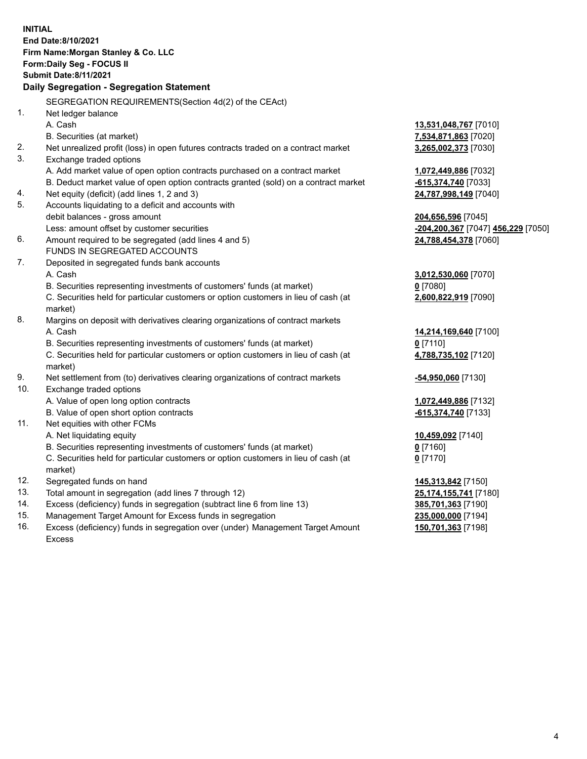**INITIAL End Date:8/10/2021 Firm Name:Morgan Stanley & Co. LLC Form:Daily Seg - FOCUS II Submit Date:8/11/2021 Daily Segregation - Segregation Statement** SEGREGATION REQUIREMENTS(Section 4d(2) of the CEAct) 1. Net ledger balance A. Cash **13,531,048,767** [7010] B. Securities (at market) **7,534,871,863** [7020] 2. Net unrealized profit (loss) in open futures contracts traded on a contract market **3,265,002,373** [7030] 3. Exchange traded options A. Add market value of open option contracts purchased on a contract market **1,072,449,886** [7032] B. Deduct market value of open option contracts granted (sold) on a contract market **-615,374,740** [7033] 4. Net equity (deficit) (add lines 1, 2 and 3) **24,787,998,149** [7040] 5. Accounts liquidating to a deficit and accounts with debit balances - gross amount **204,656,596** [7045] Less: amount offset by customer securities **-204,200,367** [7047] **456,229** [7050] 6. Amount required to be segregated (add lines 4 and 5) **24,788,454,378** [7060] FUNDS IN SEGREGATED ACCOUNTS 7. Deposited in segregated funds bank accounts A. Cash **3,012,530,060** [7070] B. Securities representing investments of customers' funds (at market) **0** [7080] C. Securities held for particular customers or option customers in lieu of cash (at market) **2,600,822,919** [7090] 8. Margins on deposit with derivatives clearing organizations of contract markets A. Cash **14,214,169,640** [7100] B. Securities representing investments of customers' funds (at market) **0** [7110] C. Securities held for particular customers or option customers in lieu of cash (at market) **4,788,735,102** [7120] 9. Net settlement from (to) derivatives clearing organizations of contract markets **-54,950,060** [7130] 10. Exchange traded options A. Value of open long option contracts **1,072,449,886** [7132] B. Value of open short option contracts **-615,374,740** [7133] 11. Net equities with other FCMs A. Net liquidating equity **10,459,092** [7140] B. Securities representing investments of customers' funds (at market) **0** [7160] C. Securities held for particular customers or option customers in lieu of cash (at market) **0** [7170] 12. Segregated funds on hand **145,313,842** [7150] 13. Total amount in segregation (add lines 7 through 12) **25,174,155,741** [7180] 14. Excess (deficiency) funds in segregation (subtract line 6 from line 13) **385,701,363** [7190] 15. Management Target Amount for Excess funds in segregation **235,000,000** [7194]

16. Excess (deficiency) funds in segregation over (under) Management Target Amount Excess

**150,701,363** [7198]